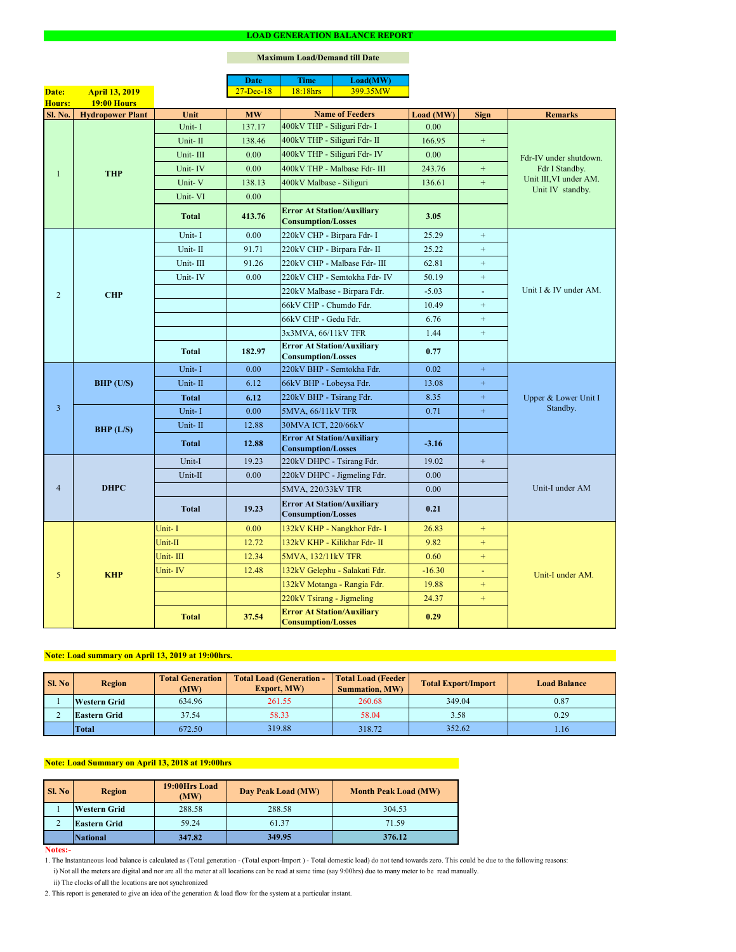#### **Notes:-**

### **Maximum Load/Demand till Date**

- 1. The Instantaneous load balance is calculated as (Total generation (Total export-Import ) Total domestic load) do not tend towards zero. This could be due to the following reasons:
	- i) Not all the meters are digital and nor are all the meter at all locations can be read at same time (say 9:00hrs) due to many meter to be read manually.
	- ii) The clocks of all the locations are not synchronized
- 2. This report is generated to give an idea of the generation & load flow for the system at a particular instant.

| SI. No | <b>Region</b>       | <b>Total Generation</b><br>(MW) | <b>Total Load (Generation -</b><br><b>Export, MW)</b> | <b>Total Load (Feeder)</b><br><b>Summation, MW)</b> | <b>Total Export/Import</b> | <b>Load Balance</b> |
|--------|---------------------|---------------------------------|-------------------------------------------------------|-----------------------------------------------------|----------------------------|---------------------|
|        | <b>Western Grid</b> | 634.96                          | 261.55                                                | 260.68                                              | 349.04                     | 0.87                |
|        | <b>Eastern Grid</b> | 37.54                           | 58.33                                                 | 58.04                                               | 3.58                       | 0.29                |
|        | <b>Total</b>        | 672.50                          | 319.88                                                | 318.72                                              | 352.62                     | 1.16                |

|                |                         |              | <b>Date</b>   | <b>Time</b>                                                    | Load(MW)                      |           |                             |                                            |  |
|----------------|-------------------------|--------------|---------------|----------------------------------------------------------------|-------------------------------|-----------|-----------------------------|--------------------------------------------|--|
| Date:          | <b>April 13, 2019</b>   |              | $27 - Dec-18$ | 18:18hrs                                                       | 399.35MW                      |           |                             |                                            |  |
| <b>Hours:</b>  | <b>19:00 Hours</b>      |              |               |                                                                |                               |           |                             |                                            |  |
| <b>Sl. No.</b> | <b>Hydropower Plant</b> | Unit         | <b>MW</b>     |                                                                | <b>Name of Feeders</b>        | Load (MW) | <b>Sign</b>                 | <b>Remarks</b>                             |  |
|                |                         | Unit-I       | 137.17        | 400kV THP - Siliguri Fdr- I                                    |                               | 0.00      |                             |                                            |  |
|                |                         | Unit-II      | 138.46        | 400kV THP - Siliguri Fdr- II                                   |                               | 166.95    | $+$                         |                                            |  |
|                |                         | Unit-III     | 0.00          |                                                                | 400kV THP - Siliguri Fdr- IV  | 0.00      |                             | Fdr-IV under shutdown.                     |  |
|                | <b>THP</b>              | Unit-IV      | 0.00          |                                                                | 400kV THP - Malbase Fdr- III  | 243.76    | $+$                         | Fdr I Standby.                             |  |
|                |                         | Unit-V       | 138.13        | 400kV Malbase - Siliguri                                       |                               | 136.61    | $+$                         | Unit III, VI under AM.<br>Unit IV standby. |  |
|                |                         | Unit-VI      | 0.00          |                                                                |                               |           |                             |                                            |  |
|                |                         | <b>Total</b> | 413.76        | <b>Error At Station/Auxiliary</b><br><b>Consumption/Losses</b> |                               | 3.05      |                             |                                            |  |
|                |                         | Unit-I       | 0.00          | 220kV CHP - Birpara Fdr- I                                     |                               | 25.29     | $+$                         |                                            |  |
|                |                         | Unit-II      | 91.71         |                                                                | 220kV CHP - Birpara Fdr- II   | 25.22     | $+$                         |                                            |  |
|                |                         | Unit-III     | 91.26         |                                                                | 220kV CHP - Malbase Fdr- III  | 62.81     | $+$                         |                                            |  |
|                |                         | Unit-IV      | 0.00          |                                                                | 220kV CHP - Semtokha Fdr- IV  | 50.19     | $+$                         |                                            |  |
| $\overline{2}$ | <b>CHP</b>              |              |               |                                                                | 220kV Malbase - Birpara Fdr.  | $-5.03$   | $\mathcal{L}_{\mathcal{A}}$ | Unit I & IV under AM.                      |  |
|                |                         |              |               | 66kV CHP - Chumdo Fdr.                                         |                               | 10.49     | $+$                         |                                            |  |
|                |                         |              |               | 66kV CHP - Gedu Fdr.                                           |                               | 6.76      | $+$                         |                                            |  |
|                |                         |              |               | 3x3MVA, 66/11kV TFR                                            |                               | 1.44      | $\boldsymbol{+}$            |                                            |  |
|                |                         | <b>Total</b> | 182.97        | <b>Error At Station/Auxiliary</b><br><b>Consumption/Losses</b> |                               | 0.77      |                             |                                            |  |
|                | <b>BHP</b> (U/S)        | Unit-I       | 0.00          | 220kV BHP - Semtokha Fdr.                                      |                               | 0.02      | $+$                         | Upper & Lower Unit I<br>Standby.           |  |
|                |                         | Unit-II      | 6.12          | 66kV BHP - Lobeysa Fdr.                                        |                               | 13.08     | $\pm$                       |                                            |  |
|                |                         | Total        | 6.12          | 220kV BHP - Tsirang Fdr.                                       |                               | 8.35      | $+$                         |                                            |  |
| $\overline{3}$ |                         | Unit-I       | 0.00          | 5MVA, 66/11kV TFR                                              |                               | 0.71      | $+$                         |                                            |  |
|                | BHP (L/S)               | Unit-II      | 12.88         | 30MVA ICT, 220/66kV                                            |                               |           |                             |                                            |  |
|                |                         | <b>Total</b> | 12.88         | <b>Error At Station/Auxiliary</b><br><b>Consumption/Losses</b> |                               | $-3.16$   |                             |                                            |  |
|                |                         | Unit-I       | 19.23         | 220kV DHPC - Tsirang Fdr.                                      |                               | 19.02     | $+$                         |                                            |  |
|                | <b>DHPC</b>             | Unit-II      | 0.00          |                                                                | 220kV DHPC - Jigmeling Fdr.   | 0.00      |                             |                                            |  |
| $\overline{4}$ |                         |              |               | 5MVA, 220/33kV TFR                                             |                               | 0.00      |                             | Unit-I under AM                            |  |
|                |                         | <b>Total</b> | 19.23         | <b>Error At Station/Auxiliary</b><br><b>Consumption/Losses</b> |                               | 0.21      |                             |                                            |  |
|                |                         | Unit-I       | 0.00          |                                                                | 132kV KHP - Nangkhor Fdr- I   | 26.83     | $+$                         |                                            |  |
|                |                         | Unit-II      | 12.72         |                                                                | 132kV KHP - Kilikhar Fdr- II  | 9.82      | $+$                         |                                            |  |
|                |                         | Unit-III     | 12.34         | 5MVA, 132/11kV TFR                                             |                               | 0.60      | $+$                         |                                            |  |
| 5              | <b>KHP</b>              | Unit-IV      | 12.48         |                                                                | 132kV Gelephu - Salakati Fdr. | $-16.30$  | $\equiv$                    | Unit-I under AM.                           |  |
|                |                         |              |               |                                                                | 132kV Motanga - Rangia Fdr.   | 19.88     | $+$                         |                                            |  |
|                |                         |              |               | 220kV Tsirang - Jigmeling                                      |                               | 24.37     | $+$                         |                                            |  |
|                |                         | <b>Total</b> | 37.54         | <b>Error At Station/Auxiliary</b><br><b>Consumption/Losses</b> |                               | 0.29      |                             |                                            |  |

| <b>Sl. No</b> | 19:00Hrs Load<br><b>Region</b><br>(MW) |        | Day Peak Load (MW) | <b>Month Peak Load (MW)</b> |
|---------------|----------------------------------------|--------|--------------------|-----------------------------|
|               | <b>Western Grid</b>                    | 288.58 | 288.58             | 304.53                      |
|               | <b>Eastern Grid</b>                    | 59.24  | 61.37              | 71.59                       |
|               | <b>National</b>                        | 347.82 | 349.95             | 376.12                      |

# **Note: Load summary on April 13, 2019 at 19:00hrs.**

# **Note: Load Summary on April 13, 2018 at 19:00hrs**

#### **LOAD GENERATION BALANCE REPORT**